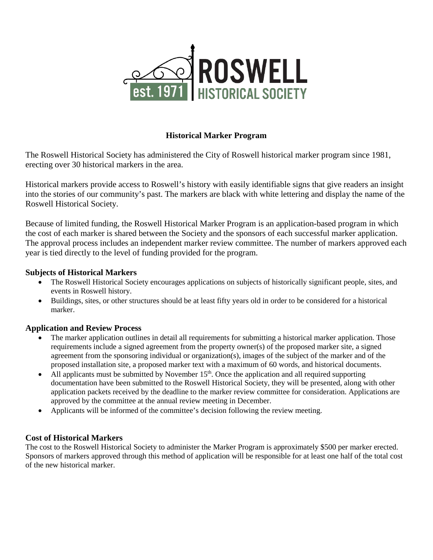

## **Historical Marker Program**

The Roswell Historical Society has administered the City of Roswell historical marker program since 1981, erecting over 30 historical markers in the area.

Historical markers provide access to Roswell's history with easily identifiable signs that give readers an insight into the stories of our community's past. The markers are black with white lettering and display the name of the Roswell Historical Society.

Because of limited funding, the Roswell Historical Marker Program is an application-based program in which the cost of each marker is shared between the Society and the sponsors of each successful marker application. The approval process includes an independent marker review committee. The number of markers approved each year is tied directly to the level of funding provided for the program.

#### **Subjects of Historical Markers**

- The Roswell Historical Society encourages applications on subjects of historically significant people, sites, and events in Roswell history.
- Buildings, sites, or other structures should be at least fifty years old in order to be considered for a historical marker.

### **Application and Review Process**

- The marker application outlines in detail all requirements for submitting a historical marker application. Those requirements include a signed agreement from the property owner(s) of the proposed marker site, a signed agreement from the sponsoring individual or organization(s), images of the subject of the marker and of the proposed installation site, a proposed marker text with a maximum of 60 words, and historical documents.
- All applicants must be submitted by November  $15<sup>th</sup>$ . Once the application and all required supporting documentation have been submitted to the Roswell Historical Society, they will be presented, along with other application packets received by the deadline to the marker review committee for consideration. Applications are approved by the committee at the annual review meeting in December.
- Applicants will be informed of the committee's decision following the review meeting.

### **Cost of Historical Markers**

The cost to the Roswell Historical Society to administer the Marker Program is approximately \$500 per marker erected. Sponsors of markers approved through this method of application will be responsible for at least one half of the total cost of the new historical marker.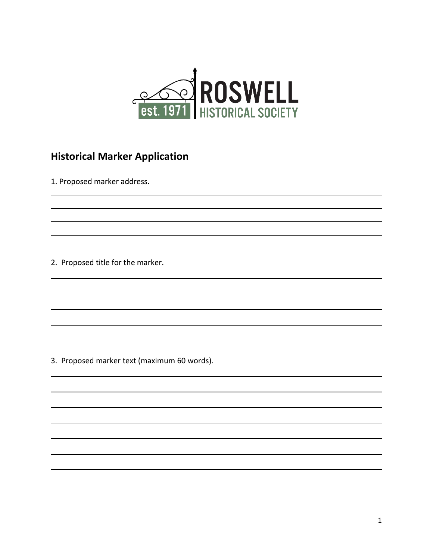

# **Historical Marker Application**

1. Proposed marker address.

2. Proposed title for the marker.

3. Proposed marker text (maximum 60 words).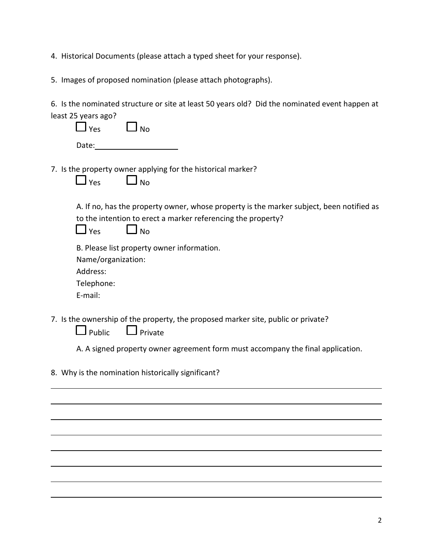4. Historical Documents (please attach a typed sheet for your response).

5. Images of proposed nomination (please attach photographs).

6. Is the nominated structure or site at least 50 years old? Did the nominated event happen at

| least 25 years ago?                                                                                                                                                                    |
|----------------------------------------------------------------------------------------------------------------------------------------------------------------------------------------|
| $\Box$ Yes<br>J No                                                                                                                                                                     |
| Date:                                                                                                                                                                                  |
| 7. Is the property owner applying for the historical marker?<br>$\Box$ No<br>$\Box$ Yes                                                                                                |
| A. If no, has the property owner, whose property is the marker subject, been notified as<br>to the intention to erect a marker referencing the property?<br>$\Box$ Yes<br>$\square$ No |
| B. Please list property owner information.<br>Name/organization:<br>Address:<br>Telephone:<br>E-mail:                                                                                  |
| 7. Is the ownership of the property, the proposed marker site, public or private?<br>$\Box$ Private<br>$\mathsf{\mathsf{J}}$ Public                                                    |
| A. A signed property owner agreement form must accompany the final application.                                                                                                        |
| 8. Why is the nomination historically significant?                                                                                                                                     |
|                                                                                                                                                                                        |
|                                                                                                                                                                                        |
|                                                                                                                                                                                        |